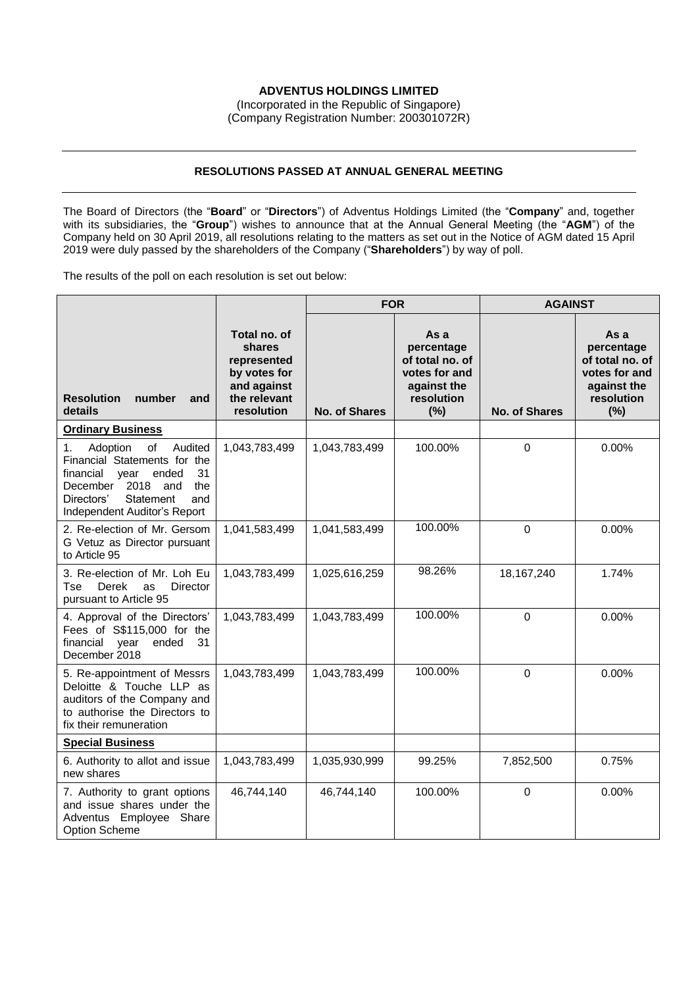# **ADVENTUS HOLDINGS LIMITED**

(Incorporated in the Republic of Singapore) (Company Registration Number: 200301072R)

## **RESOLUTIONS PASSED AT ANNUAL GENERAL MEETING**

The Board of Directors (the "**Board**" or "**Directors**") of Adventus Holdings Limited (the "**Company**" and, together with its subsidiaries, the "**Group**") wishes to announce that at the Annual General Meeting (the "**AGM**") of the Company held on 30 April 2019, all resolutions relating to the matters as set out in the Notice of AGM dated 15 April 2019 were duly passed by the shareholders of the Company ("**Shareholders**") by way of poll.

The results of the poll on each resolution is set out below:

|                                                                                                                                                                                                         |                                                                                                    | <b>FOR</b>           |                                                                                            | <b>AGAINST</b>       |                                                                                            |
|---------------------------------------------------------------------------------------------------------------------------------------------------------------------------------------------------------|----------------------------------------------------------------------------------------------------|----------------------|--------------------------------------------------------------------------------------------|----------------------|--------------------------------------------------------------------------------------------|
| <b>Resolution</b><br>number<br>and<br>details                                                                                                                                                           | Total no. of<br>shares<br>represented<br>by votes for<br>and against<br>the relevant<br>resolution | <b>No. of Shares</b> | As a<br>percentage<br>of total no. of<br>votes for and<br>against the<br>resolution<br>(%) | <b>No. of Shares</b> | As a<br>percentage<br>of total no. of<br>votes for and<br>against the<br>resolution<br>(%) |
| <b>Ordinary Business</b>                                                                                                                                                                                |                                                                                                    |                      |                                                                                            |                      |                                                                                            |
| Audited<br>1.<br>Adoption<br>of<br>Financial Statements for the<br>financial<br>year<br>ended<br>31<br>2018<br>December<br>and<br>the<br>Directors'<br>Statement<br>and<br>Independent Auditor's Report | 1,043,783,499                                                                                      | 1,043,783,499        | 100.00%                                                                                    | $\mathbf 0$          | 0.00%                                                                                      |
| 2. Re-election of Mr. Gersom<br>G Vetuz as Director pursuant<br>to Article 95                                                                                                                           | 1,041,583,499                                                                                      | 1,041,583,499        | 100.00%                                                                                    | $\boldsymbol{0}$     | 0.00%                                                                                      |
| 3. Re-election of Mr. Loh Eu<br>Derek<br><b>Director</b><br>Tse<br>as<br>pursuant to Article 95                                                                                                         | 1,043,783,499                                                                                      | 1,025,616,259        | 98.26%                                                                                     | 18, 167, 240         | 1.74%                                                                                      |
| 4. Approval of the Directors'<br>Fees of S\$115,000 for the<br>ended<br>financial year<br>31<br>December 2018                                                                                           | 1,043,783,499                                                                                      | 1,043,783,499        | 100.00%                                                                                    | $\mathbf 0$          | 0.00%                                                                                      |
| 5. Re-appointment of Messrs<br>Deloitte & Touche LLP as<br>auditors of the Company and<br>to authorise the Directors to<br>fix their remuneration                                                       | 1,043,783,499                                                                                      | 1,043,783,499        | 100.00%                                                                                    | $\mathbf 0$          | 0.00%                                                                                      |
| <b>Special Business</b>                                                                                                                                                                                 |                                                                                                    |                      |                                                                                            |                      |                                                                                            |
| 6. Authority to allot and issue<br>new shares                                                                                                                                                           | 1,043,783,499                                                                                      | 1,035,930,999        | 99.25%                                                                                     | 7,852,500            | 0.75%                                                                                      |
| 7. Authority to grant options<br>and issue shares under the<br>Adventus Employee Share<br><b>Option Scheme</b>                                                                                          | 46,744,140                                                                                         | 46,744,140           | 100.00%                                                                                    | $\mathbf 0$          | 0.00%                                                                                      |